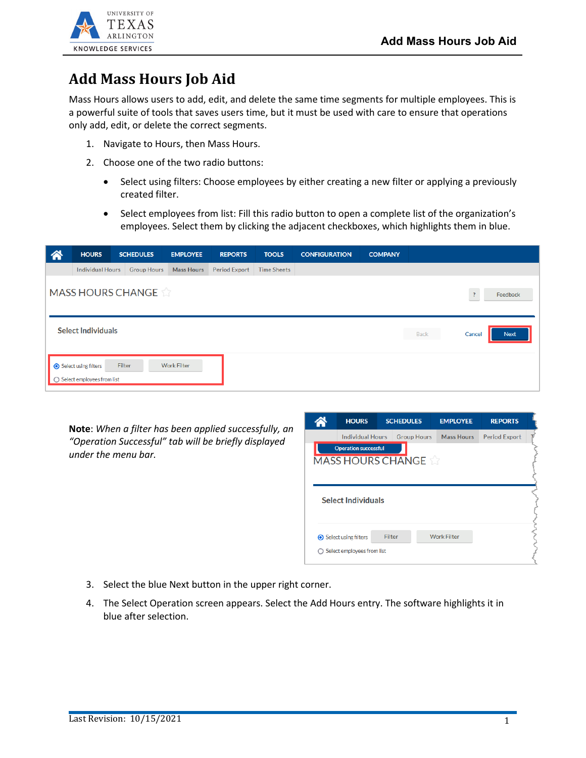

## **Add Mass Hours Job Aid**

Mass Hours allows users to add, edit, and delete the same time segments for multiple employees. This is a powerful suite of tools that saves users time, but it must be used with care to ensure that operations only add, edit, or delete the correct segments.

- 1. Navigate to Hours, then Mass Hours.
- 2. Choose one of the two radio buttons:
	- Select using filters: Choose employees by either creating a new filter or applying a previously created filter.
	- Select employees from list: Fill this radio button to open a complete list of the organization's employees. Select them by clicking the adjacent checkboxes, which highlights them in blue.

| 谷 | <b>HOURS</b>                                         | <b>SCHEDULES</b>         | <b>EMPLOYEE</b>    | <b>REPORTS</b>       | <b>TOOLS</b> | <b>CONFIGURATION</b> | <b>COMPANY</b> |      |                |             |
|---|------------------------------------------------------|--------------------------|--------------------|----------------------|--------------|----------------------|----------------|------|----------------|-------------|
|   | Individual Hours                                     | <b>Group Hours</b>       | <b>Mass Hours</b>  | <b>Period Export</b> | Time Sheets  |                      |                |      |                |             |
|   |                                                      | <b>MASS HOURS CHANGE</b> |                    |                      |              |                      |                |      | $\overline{?}$ | Feedback    |
|   | <b>Select Individuals</b>                            |                          |                    |                      |              |                      |                | Back | Cancel         | <b>Next</b> |
|   | Select using filters<br>○ Select employees from list | Filter                   | <b>Work Filter</b> |                      |              |                      |                |      |                |             |

**Note**: *When a filter has been applied successfully, an "Operation Successful" tab will be briefly displayed under the menu bar.* 

|                                                         | <b>HOURS</b>                  | <b>SCHEDULES</b> |                    | <b>EMPLOYEE</b>    | <b>REPORTS</b>       |  |  |  |  |
|---------------------------------------------------------|-------------------------------|------------------|--------------------|--------------------|----------------------|--|--|--|--|
|                                                         | <b>Individual Hours</b>       |                  | <b>Group Hours</b> | <b>Mass Hours</b>  | <b>Period Export</b> |  |  |  |  |
| <b>Operation successful</b><br><b>MASS HOURS CHANGE</b> |                               |                  |                    |                    |                      |  |  |  |  |
|                                                         |                               |                  |                    |                    |                      |  |  |  |  |
| <b>Select Individuals</b>                               |                               |                  |                    |                    |                      |  |  |  |  |
|                                                         |                               |                  |                    |                    |                      |  |  |  |  |
|                                                         |                               |                  |                    |                    |                      |  |  |  |  |
|                                                         | <b>◎</b> Select using filters | Filter           |                    | <b>Work Filter</b> |                      |  |  |  |  |

- 3. Select the blue Next button in the upper right corner.
- 4. The Select Operation screen appears. Select the Add Hours entry. The software highlights it in blue after selection.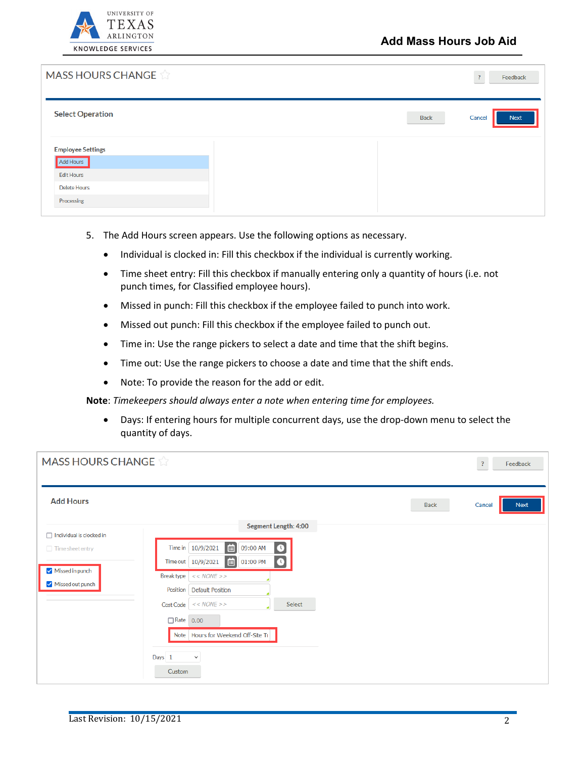

| <b>MASS HOURS CHANGE</b>                        |      | Feedback<br>$\overline{?}$ |
|-------------------------------------------------|------|----------------------------|
| <b>Select Operation</b>                         | Back | <b>Next</b><br>Cancel      |
| <b>Employee Settings</b><br>Add Hours           |      |                            |
| <b>Edit Hours</b><br>Delete Hours<br>Processing |      |                            |

- 5. The Add Hours screen appears. Use the following options as necessary.
	- Individual is clocked in: Fill this checkbox if the individual is currently working.
	- Time sheet entry: Fill this checkbox if manually entering only a quantity of hours (i.e. not punch times, for Classified employee hours).
	- Missed in punch: Fill this checkbox if the employee failed to punch into work.
	- Missed out punch: Fill this checkbox if the employee failed to punch out.
	- Time in: Use the range pickers to select a date and time that the shift begins.
	- Time out: Use the range pickers to choose a date and time that the shift ends.
	- Note: To provide the reason for the add or edit.

**Note**: *Timekeepers should always enter a note when entering time for employees.*

• Days: If entering hours for multiple concurrent days, use the drop-down menu to select the quantity of days.

| <b>MASS HOURS CHANGE</b>            |                                                                                                                           |      | $\cdot$ ?<br>Feedback |
|-------------------------------------|---------------------------------------------------------------------------------------------------------------------------|------|-----------------------|
| <b>Add Hours</b>                    |                                                                                                                           | Back | Next<br>Cancel        |
| $\Box$ Individual is clocked in     | <b>Segment Length: 4:00</b>                                                                                               |      |                       |
| Time sheet entry                    | 画<br>Time in   10/9/2021<br>09:00 AM<br>$\bullet$<br>Time out   10/9/2021<br>01:00 PM<br>$\Box$<br>$\left( \cdot \right)$ |      |                       |
| Missed in punch<br>Missed out punch | <b>Break type</b><br><< NONE<br>Position<br><b>Default Position</b>                                                       |      |                       |
|                                     | $<< NONE$ >><br>Select<br>Cost Code                                                                                       |      |                       |
|                                     | □ Rate 0.00<br>Note   Hours for Weekend Off-Site Ti<br>Days 1<br>$\checkmark$<br>Custom                                   |      |                       |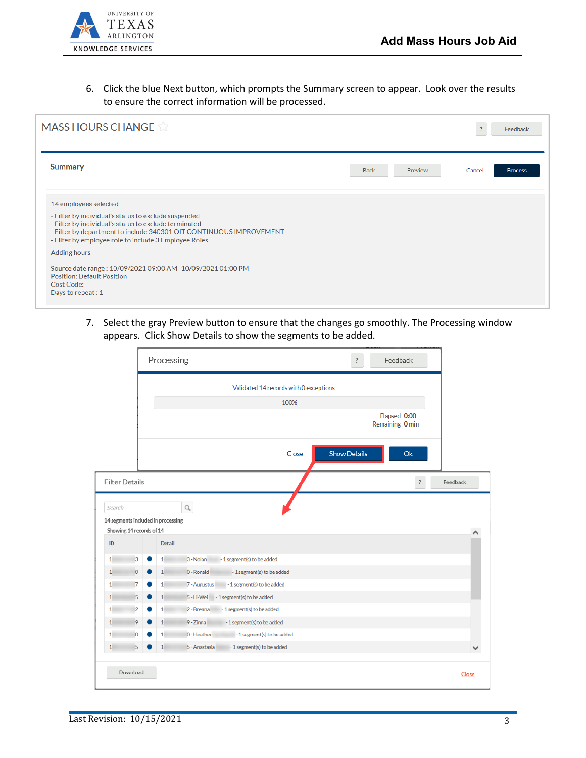

6. Click the blue Next button, which prompts the Summary screen to appear. Look over the results to ensure the correct information will be processed.

| <b>MASS HOURS CHANGE</b>                                                                                                                                                                                                                                                                                                                                                                                                      |                        | ?      | Feedback |
|-------------------------------------------------------------------------------------------------------------------------------------------------------------------------------------------------------------------------------------------------------------------------------------------------------------------------------------------------------------------------------------------------------------------------------|------------------------|--------|----------|
| <b>Summary</b>                                                                                                                                                                                                                                                                                                                                                                                                                | <b>Back</b><br>Preview | Cancel | Process  |
| 14 employees selected<br>- Filter by individual's status to exclude suspended<br>- Filter by individual's status to exclude terminated<br>- Filter by department to include 340301 OIT CONTINUOUS IMPROVEMENT<br>- Filter by employee role to include 3 Employee Roles<br>Adding hours<br>Source date range: 10/09/2021 09:00 AM- 10/09/2021 01:00 PM<br><b>Position: Default Position</b><br>Cost Code:<br>Days to repeat: 1 |                        |        |          |

7. Select the gray Preview button to ensure that the changes go smoothly. The Processing window appears. Click Show Details to show the segments to be added.

|                       |                          | Processing                         |                                           | ?            | Feedback                        |          |
|-----------------------|--------------------------|------------------------------------|-------------------------------------------|--------------|---------------------------------|----------|
|                       |                          |                                    | Validated 14 records with 0 exceptions    |              |                                 |          |
|                       |                          |                                    | 100%                                      |              |                                 |          |
|                       |                          |                                    |                                           |              | Elapsed 0:00<br>Remaining 0 min |          |
|                       |                          |                                    | Close                                     | Show Details | Ok                              |          |
| <b>Filter Details</b> |                          |                                    |                                           |              | ?                               | Feedback |
| Search                |                          | 14 segments included in processing | Q                                         |              |                                 |          |
|                       | Showing 14 records of 14 |                                    |                                           |              |                                 |          |
|                       |                          |                                    |                                           |              |                                 |          |
| ID                    |                          | Detail                             |                                           |              |                                 |          |
| 1                     | 3                        | 1 <sub>1</sub>                     | -1 segment(s) to be added<br>3 - Nolan    |              |                                 |          |
| 1                     | $\circ$                  | $11$                               | 0 - Ronald<br>-1 segment(s) to be added   |              |                                 |          |
| $1^{\circ}$           | 7<br>0                   | 1 <sub>1</sub>                     | -1 segment(s) to be added<br>7 - Augustus |              |                                 |          |
| 1                     | 5                        | 1 <sub>1</sub>                     | 5 - Li-Wei - 1 segment(s) to be added     |              |                                 |          |
| 1                     | $\overline{2}$           | 1 <sup>1</sup>                     | -1 segment(s) to be added<br>2 - Brenna   |              |                                 |          |
| 1                     | 9                        | $11$                               | 9 - Zinna<br>-1 segment(s) to be added    |              |                                 |          |
| $1^{\circ}$           | $\circ$                  | 1 <sub>1</sub>                     | D-Heather<br>-1 segment(s) to be added    |              |                                 |          |